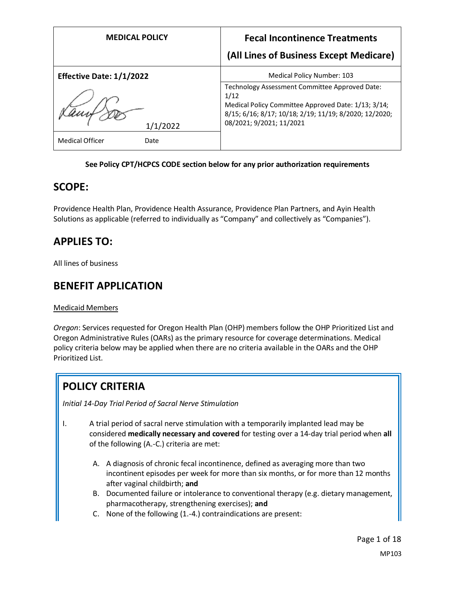| <b>MEDICAL POLICY</b>          | <b>Fecal Incontinence Treatments</b>                                                                                                                                                                |
|--------------------------------|-----------------------------------------------------------------------------------------------------------------------------------------------------------------------------------------------------|
|                                | (All Lines of Business Except Medicare)                                                                                                                                                             |
| Effective Date: 1/1/2022       | Medical Policy Number: 103                                                                                                                                                                          |
| 1/1/2022                       | Technology Assessment Committee Approved Date:<br>1/12<br>Medical Policy Committee Approved Date: 1/13; 3/14;<br>8/15; 6/16; 8/17; 10/18; 2/19; 11/19; 8/2020; 12/2020;<br>08/2021; 9/2021; 11/2021 |
| <b>Medical Officer</b><br>Date |                                                                                                                                                                                                     |

## **See Policy CPT/HCPCS CODE section below for any prior authorization requirements**

## **SCOPE:**

Providence Health Plan, Providence Health Assurance, Providence Plan Partners, and Ayin Health Solutions as applicable (referred to individually as "Company" and collectively as "Companies").

# **APPLIES TO:**

All lines of business

## **BENEFIT APPLICATION**

#### Medicaid Members

*Oregon*: Services requested for Oregon Health Plan (OHP) members follow the OHP Prioritized List and Oregon Administrative Rules (OARs) as the primary resource for coverage determinations. Medical policy criteria below may be applied when there are no criteria available in the OARs and the OHP Prioritized List.

# **POLICY CRITERIA**

*Initial 14-Day Trial Period of Sacral Nerve Stimulation* 

- I. A trial period of sacral nerve stimulation with a temporarily implanted lead may be considered **medically necessary and covered** for testing over a 14-day trial period when **all** of the following (A.-C.) criteria are met:
	- A. A diagnosis of chronic fecal incontinence, defined as averaging more than two incontinent episodes per week for more than six months, or for more than 12 months after vaginal childbirth; **and**
	- B. Documented failure or intolerance to conventional therapy (e.g. dietary management, pharmacotherapy, strengthening exercises); **and**
	- C. None of the following (1.-4.) contraindications are present: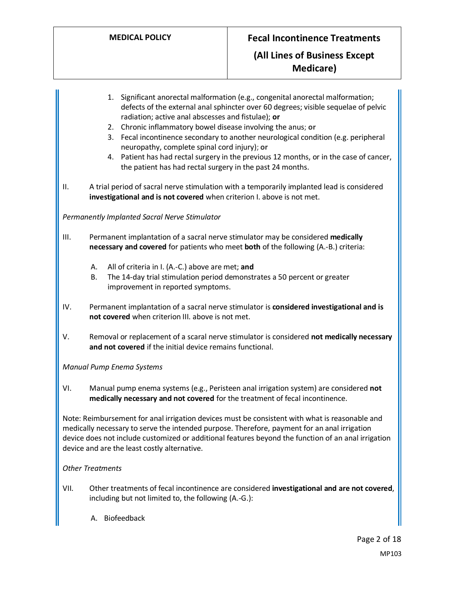- 1. Significant anorectal malformation (e.g., congenital anorectal malformation; defects of the external anal sphincter over 60 degrees; visible sequelae of pelvic radiation; active anal abscesses and fistulae); **or** 2. Chronic inflammatory bowel disease involving the anus; **or** 3. Fecal incontinence secondary to another neurological condition (e.g. peripheral neuropathy, complete spinal cord injury); **or** 4. Patient has had rectal surgery in the previous 12 months, or in the case of cancer, the patient has had rectal surgery in the past 24 months. II. A trial period of sacral nerve stimulation with a temporarily implanted lead is considered **investigational and is not covered** when criterion I. above is not met. *Permanently Implanted Sacral Nerve Stimulator* III. Permanent implantation of a sacral nerve stimulator may be considered **medically necessary and covered** for patients who meet **both** of the following (A.-B.) criteria: A. All of criteria in I. (A.-C.) above are met; **and** B. The 14-day trial stimulation period demonstrates a 50 percent or greater improvement in reported symptoms. IV. Permanent implantation of a sacral nerve stimulator is **considered investigational and is not covered** when criterion III. above is not met. V. Removal or replacement of a scaral nerve stimulator is considered **not medically necessary and not covered** if the initial device remains functional. *Manual Pump Enema Systems* VI. Manual pump enema systems (e.g., Peristeen anal irrigation system) are considered **not medically necessary and not covered** for the treatment of fecal incontinence. Note: Reimbursement for anal irrigation devices must be consistent with what is reasonable and medically necessary to serve the intended purpose. Therefore, payment for an anal irrigation device does not include customized or additional features beyond the function of an anal irrigation device and are the least costly alternative. *Other Treatments* VII. Other treatments of fecal incontinence are considered **investigational and are not covered**,
	- A. Biofeedback

including but not limited to, the following (A.-G.):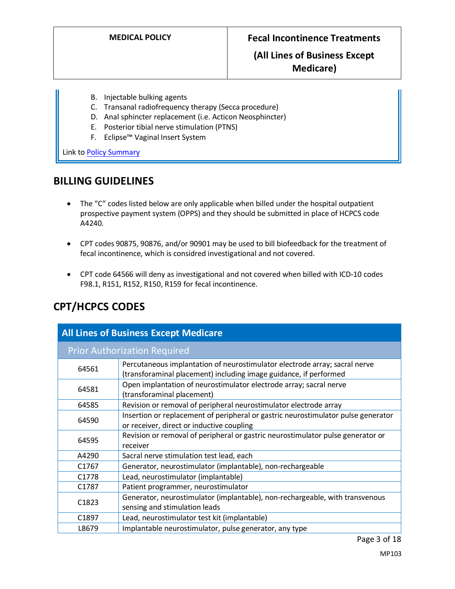## **(All Lines of Business Except Medicare)**

- B. Injectable bulking agents
- C. Transanal radiofrequency therapy (Secca procedure)
- D. Anal sphincter replacement (i.e. Acticon Neosphincter)
	- E. Posterior tibial nerve stimulation (PTNS)
	- F. Eclipse™ Vaginal Insert System

Link t[o Policy Summary](#page-11-0)

## **BILLING GUIDELINES**

- The "C" codes listed below are only applicable when billed under the hospital outpatient prospective payment system (OPPS) and they should be submitted in place of HCPCS code A4240.
- CPT codes 90875, 90876, and/or 90901 may be used to bill biofeedback for the treatment of fecal incontinence, which is considred investigational and not covered.
- CPT code 64566 will deny as investigational and not covered when billed with ICD-10 codes F98.1, R151, R152, R150, R159 for fecal incontinence.

| <b>All Lines of Business Except Medicare</b> |                                                                                                                                                 |  |  |  |
|----------------------------------------------|-------------------------------------------------------------------------------------------------------------------------------------------------|--|--|--|
| <b>Prior Authorization Required</b>          |                                                                                                                                                 |  |  |  |
| 64561                                        | Percutaneous implantation of neurostimulator electrode array; sacral nerve<br>(transforaminal placement) including image guidance, if performed |  |  |  |
| 64581                                        | Open implantation of neurostimulator electrode array; sacral nerve<br>(transforaminal placement)                                                |  |  |  |
| 64585                                        | Revision or removal of peripheral neurostimulator electrode array                                                                               |  |  |  |
| 64590                                        | Insertion or replacement of peripheral or gastric neurostimulator pulse generator<br>or receiver, direct or inductive coupling                  |  |  |  |
| 64595                                        | Revision or removal of peripheral or gastric neurostimulator pulse generator or<br>receiver                                                     |  |  |  |
| A4290                                        | Sacral nerve stimulation test lead, each                                                                                                        |  |  |  |
| C <sub>1767</sub>                            | Generator, neurostimulator (implantable), non-rechargeable                                                                                      |  |  |  |
| C <sub>1778</sub>                            | Lead, neurostimulator (implantable)                                                                                                             |  |  |  |
| C1787                                        | Patient programmer, neurostimulator                                                                                                             |  |  |  |
| C <sub>1823</sub>                            | Generator, neurostimulator (implantable), non-rechargeable, with transvenous<br>sensing and stimulation leads                                   |  |  |  |
| C1897                                        | Lead, neurostimulator test kit (implantable)                                                                                                    |  |  |  |
| L8679                                        | Implantable neurostimulator, pulse generator, any type                                                                                          |  |  |  |

# **CPT/HCPCS CODES**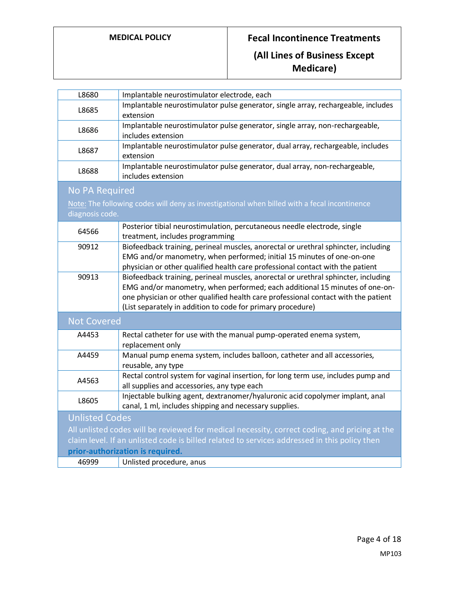**Medicare)**

| L8680                                                                                         | Implantable neurostimulator electrode, each                                                    |  |  |  |
|-----------------------------------------------------------------------------------------------|------------------------------------------------------------------------------------------------|--|--|--|
|                                                                                               |                                                                                                |  |  |  |
| L8685                                                                                         | Implantable neurostimulator pulse generator, single array, rechargeable, includes<br>extension |  |  |  |
|                                                                                               | Implantable neurostimulator pulse generator, single array, non-rechargeable,                   |  |  |  |
| L8686                                                                                         | includes extension                                                                             |  |  |  |
|                                                                                               | Implantable neurostimulator pulse generator, dual array, rechargeable, includes                |  |  |  |
| L8687                                                                                         | extension                                                                                      |  |  |  |
|                                                                                               | Implantable neurostimulator pulse generator, dual array, non-rechargeable,                     |  |  |  |
| L8688                                                                                         | includes extension                                                                             |  |  |  |
| <b>No PA Required</b>                                                                         |                                                                                                |  |  |  |
|                                                                                               | Note: The following codes will deny as investigational when billed with a fecal incontinence   |  |  |  |
| diagnosis code.                                                                               |                                                                                                |  |  |  |
|                                                                                               | Posterior tibial neurostimulation, percutaneous needle electrode, single                       |  |  |  |
| 64566                                                                                         | treatment, includes programming                                                                |  |  |  |
| 90912                                                                                         | Biofeedback training, perineal muscles, anorectal or urethral sphincter, including             |  |  |  |
|                                                                                               | EMG and/or manometry, when performed; initial 15 minutes of one-on-one                         |  |  |  |
|                                                                                               |                                                                                                |  |  |  |
|                                                                                               | physician or other qualified health care professional contact with the patient                 |  |  |  |
| 90913                                                                                         | Biofeedback training, perineal muscles, anorectal or urethral sphincter, including             |  |  |  |
|                                                                                               | EMG and/or manometry, when performed; each additional 15 minutes of one-on-                    |  |  |  |
|                                                                                               | one physician or other qualified health care professional contact with the patient             |  |  |  |
|                                                                                               | (List separately in addition to code for primary procedure)                                    |  |  |  |
| <b>Not Covered</b>                                                                            |                                                                                                |  |  |  |
| A4453                                                                                         | Rectal catheter for use with the manual pump-operated enema system,                            |  |  |  |
|                                                                                               | replacement only                                                                               |  |  |  |
| A4459                                                                                         | Manual pump enema system, includes balloon, catheter and all accessories,                      |  |  |  |
|                                                                                               | reusable, any type                                                                             |  |  |  |
|                                                                                               | Rectal control system for vaginal insertion, for long term use, includes pump and              |  |  |  |
| A4563                                                                                         | all supplies and accessories, any type each                                                    |  |  |  |
|                                                                                               | Injectable bulking agent, dextranomer/hyaluronic acid copolymer implant, anal                  |  |  |  |
| L8605                                                                                         | canal, 1 ml, includes shipping and necessary supplies.                                         |  |  |  |
| <b>Unlisted Codes</b>                                                                         |                                                                                                |  |  |  |
| All unlisted codes will be reviewed for medical necessity, correct coding, and pricing at the |                                                                                                |  |  |  |
| claim level. If an unlisted code is billed related to services addressed in this policy then  |                                                                                                |  |  |  |
| prior-authorization is required.                                                              |                                                                                                |  |  |  |
| 46999                                                                                         | Unlisted procedure, anus                                                                       |  |  |  |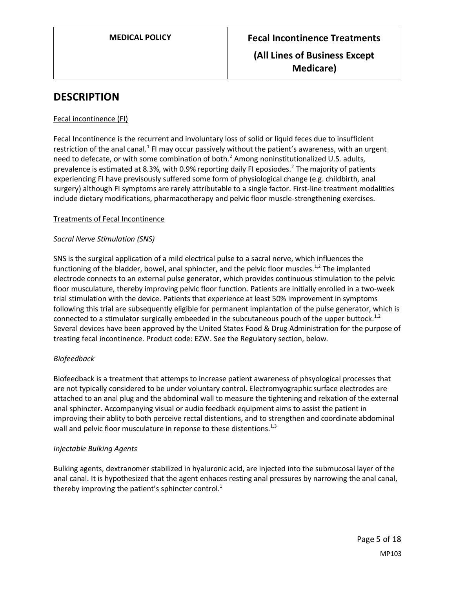# **DESCRIPTION**

## Fecal incontinence (FI)

Fecal Incontinence is the recurrent and involuntary loss of solid or liquid feces due to insufficient restriction of the anal canal.<sup>1</sup> FI may occur passively without the patient's awareness, with an urgent need to defecate, or with some combination of both. $^2$  Among noninstitutionalized U.S. adults, prevalence is estimated at 8.3%, with 0.9% reporting daily FI eposiodes.<sup>2</sup> The majority of patients experiencing FI have previsously suffered some form of physiological change (e.g. childbirth, anal surgery) although FI symptoms are rarely attributable to a single factor. First-line treatment modalities include dietary modifications, pharmacotherapy and pelvic floor muscle-strengthening exercises.

## Treatments of Fecal Incontinence

## *Sacral Nerve Stimulation (SNS)*

SNS is the surgical application of a mild electrical pulse to a sacral nerve, which influences the functioning of the bladder, bowel, anal sphincter, and the pelvic floor muscles.<sup>1,2</sup> The implanted electrode connects to an external pulse generator, which provides continuous stimulation to the pelvic floor musculature, thereby improving pelvic floor function. Patients are initially enrolled in a two-week trial stimulation with the device. Patients that experience at least 50% improvement in symptoms following this trial are subsequently eligible for permanent implantation of the pulse generator, which is connected to a stimulator surgically embeeded in the subcutaneous pouch of the upper buttock.<sup>1,2</sup> Several devices have been approved by the United States Food & Drug Administration for the purpose of treating fecal incontinence. Product code: EZW. See the Regulatory section, below.

#### *Biofeedback*

Biofeedback is a treatment that attemps to increase patient awareness of phsyological processes that are not typically considered to be under voluntary control. Electromyographic surface electrodes are attached to an anal plug and the abdominal wall to measure the tightening and relxation of the external anal sphincter. Accompanying visual or audio feedback equipment aims to assist the patient in improving their ablity to both perceive rectal distentions, and to strengthen and coordinate abdominal wall and pelvic floor musculature in reponse to these distentions.<sup>1,3</sup>

#### *Injectable Bulking Agents*

Bulking agents, dextranomer stabilized in hyaluronic acid, are injected into the submucosal layer of the anal canal. It is hypothesized that the agent enhaces resting anal pressures by narrowing the anal canal, thereby improving the patient's sphincter control. $<sup>1</sup>$ </sup>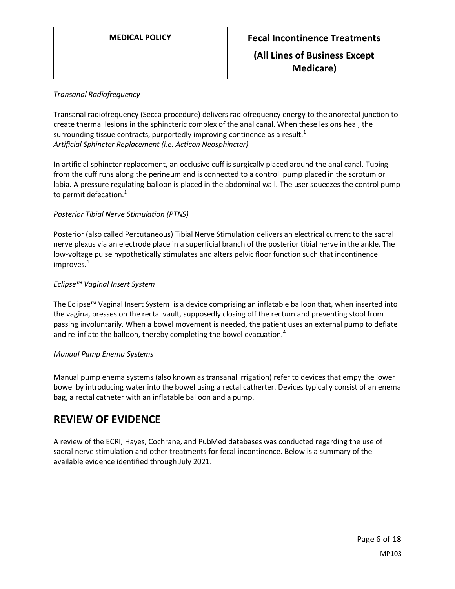## *Transanal Radiofrequency*

Transanal radiofrequency (Secca procedure) delivers radiofrequency energy to the anorectal junction to create thermal lesions in the sphincteric complex of the anal canal. When these lesions heal, the surrounding tissue contracts, purportedly improving continence as a result.<sup>1</sup> *Artificial Sphincter Replacement (i.e. Acticon Neosphincter)*

In artificial sphincter replacement, an occlusive cuff is surgically placed around the anal canal. Tubing from the cuff runs along the perineum and is connected to a control pump placed in the scrotum or labia. A pressure regulating-balloon is placed in the abdominal wall. The user squeezes the control pump to permit defecation. $1$ 

## *Posterior Tibial Nerve Stimulation (PTNS)*

Posterior (also called Percutaneous) Tibial Nerve Stimulation delivers an electrical current to the sacral nerve plexus via an electrode place in a superficial branch of the posterior tibial nerve in the ankle. The low-voltage pulse hypothetically stimulates and alters pelvic floor function such that incontinence  $improves.<sup>1</sup>$ 

#### *Eclipse™ Vaginal Insert System*

The Eclipse™ Vaginal Insert System is a device comprising an inflatable balloon that, when inserted into the vagina, presses on the rectal vault, supposedly closing off the rectum and preventing stool from passing involuntarily. When a bowel movement is needed, the patient uses an external pump to deflate and re-inflate the balloon, thereby completing the bowel evacuation.<sup>4</sup>

#### *Manual Pump Enema Systems*

Manual pump enema systems (also known as transanal irrigation) refer to devices that empy the lower bowel by introducing water into the bowel using a rectal catherter. Devices typically consist of an enema bag, a rectal catheter with an inflatable balloon and a pump.

## **REVIEW OF EVIDENCE**

A review of the ECRI, Hayes, Cochrane, and PubMed databases was conducted regarding the use of sacral nerve stimulation and other treatments for fecal incontinence. Below is a summary of the available evidence identified through July 2021.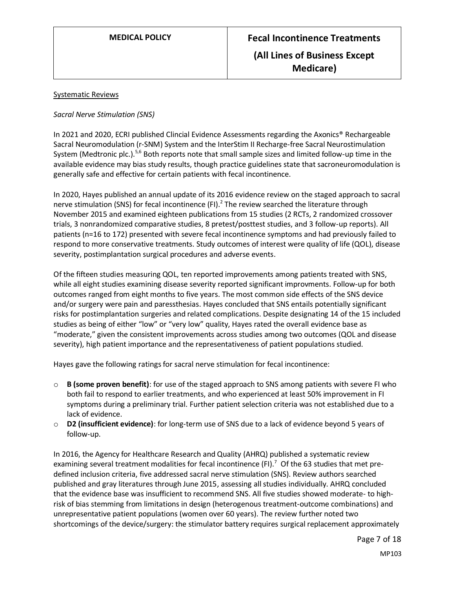## Systematic Reviews

## *Sacral Nerve Stimulation (SNS)*

In 2021 and 2020, ECRI published Clincial Evidence Assessments regarding the Axonics® Rechargeable Sacral Neuromodulation (r-SNM) System and the InterStim II Recharge-free Sacral Neurostimulation System (Medtronic plc.).<sup>5,6</sup> Both reports note that small sample sizes and limited follow-up time in the available evidence may bias study results, though practice guidelines state that sacroneuromodulation is generally safe and effective for certain patients with fecal incontinence.

In 2020, Hayes published an annual update of its 2016 evidence review on the staged approach to sacral nerve stimulation (SNS) for fecal incontinence (FI).<sup>2</sup> The review searched the literature through November 2015 and examined eighteen publications from 15 studies (2 RCTs, 2 randomized crossover trials, 3 nonrandomized comparative studies, 8 pretest/posttest studies, and 3 follow-up reports). All patients (n=16 to 172) presented with severe fecal incontinence symptoms and had previously failed to respond to more conservative treatments. Study outcomes of interest were quality of life (QOL), disease severity, postimplantation surgical procedures and adverse events.

Of the fifteen studies measuring QOL, ten reported improvements among patients treated with SNS, while all eight studies examining disease severity reported significant improvments. Follow-up for both outcomes ranged from eight months to five years. The most common side effects of the SNS device and/or surgery were pain and paressthesias. Hayes concluded that SNS entails potentially significant risks for postimplantation surgeries and related complications. Despite designating 14 of the 15 included studies as being of either "low" or "very low" quality, Hayes rated the overall evidence base as "moderate," given the consistent improvements across studies among two outcomes (QOL and disease severity), high patient importance and the representativeness of patient populations studied.

Hayes gave the following ratings for sacral nerve stimulation for fecal incontinence:

- o **B (some proven benefit)**: for use of the staged approach to SNS among patients with severe FI who both fail to respond to earlier treatments, and who experienced at least 50% improvement in FI symptoms during a preliminary trial. Further patient selection criteria was not established due to a lack of evidence.
- o **D2 (insufficient evidence)**: for long-term use of SNS due to a lack of evidence beyond 5 years of follow-up.

In 2016, the Agency for Healthcare Research and Quality (AHRQ) published a systematic review examining several treatment modalities for fecal incontinence (FI).<sup>7</sup> Of the 63 studies that met predefined inclusion criteria, five addressed sacral nerve stimulation (SNS). Review authors searched published and gray literatures through June 2015, assessing all studies individually. AHRQ concluded that the evidence base was insufficient to recommend SNS. All five studies showed moderate- to highrisk of bias stemming from limitations in design (heterogenous treatment-outcome combinations) and unrepresentative patient populations (women over 60 years). The review further noted two shortcomings of the device/surgery: the stimulator battery requires surgical replacement approximately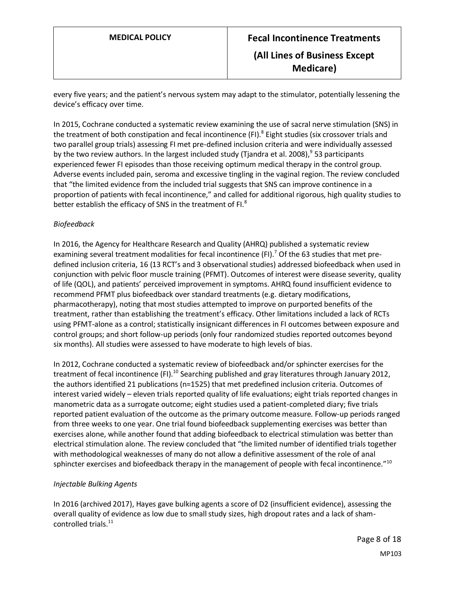every five years; and the patient's nervous system may adapt to the stimulator, potentially lessening the device's efficacy over time.

In 2015, Cochrane conducted a systematic review examining the use of sacral nerve stimulation (SNS) in the treatment of both constipation and fecal incontinence (FI).<sup>8</sup> Eight studies (six crossover trials and two parallel group trials) assessing FI met pre-defined inclusion criteria and were individually assessed by the two review authors. In the largest included study (Tjandra et al. 2008),<sup>9</sup> 53 participants experienced fewer FI episodes than those receiving optimum medical therapy in the control group. Adverse events included pain, seroma and excessive tingling in the vaginal region. The review concluded that "the limited evidence from the included trial suggests that SNS can improve continence in a proportion of patients with fecal incontinence," and called for additional rigorous, high quality studies to better establish the efficacy of SNS in the treatment of FI.<sup>8</sup>

## *Biofeedback*

In 2016, the Agency for Healthcare Research and Quality (AHRQ) published a systematic review examining several treatment modalities for fecal incontinence (FI).<sup>7</sup> Of the 63 studies that met predefined inclusion criteria, 16 (13 RCT's and 3 observational studies) addressed biofeedback when used in conjunction with pelvic floor muscle training (PFMT). Outcomes of interest were disease severity, quality of life (QOL), and patients' perceived improvement in symptoms. AHRQ found insufficient evidence to recommend PFMT plus biofeedback over standard treatments (e.g. dietary modifications, pharmacotherapy), noting that most studies attempted to improve on purported benefits of the treatment, rather than establishing the treatment's efficacy. Other limitations included a lack of RCTs using PFMT-alone as a control; statistically insignicant differences in FI outcomes between exposure and control groups; and short follow-up periods (only four randomized studies reported outcomes beyond six months). All studies were assessed to have moderate to high levels of bias.

In 2012, Cochrane conducted a systematic review of biofeedback and/or sphincter exercises for the treatment of fecal incontinence (FI).<sup>10</sup> Searching published and gray literatures through January 2012, the authors identified 21 publications (n=1525) that met predefined inclusion criteria. Outcomes of interest varied widely – eleven trials reported quality of life evaluations; eight trials reported changes in manometric data as a surrogate outcome; eight studies used a patient-completed diary; five trials reported patient evaluation of the outcome as the primary outcome measure. Follow-up periods ranged from three weeks to one year. One trial found biofeedback supplementing exercises was better than exercises alone, while another found that adding biofeedback to electrical stimulation was better than electrical stimulation alone. The review concluded that "the limited number of identified trials together with methodological weaknesses of many do not allow a definitive assessment of the role of anal sphincter exercises and biofeedback therapy in the management of people with fecal incontinence."<sup>10</sup>

#### *Injectable Bulking Agents*

In 2016 (archived 2017), Hayes gave bulking agents a score of D2 (insufficient evidence), assessing the overall quality of evidence as low due to small study sizes, high dropout rates and a lack of shamcontrolled trials.<sup>11</sup>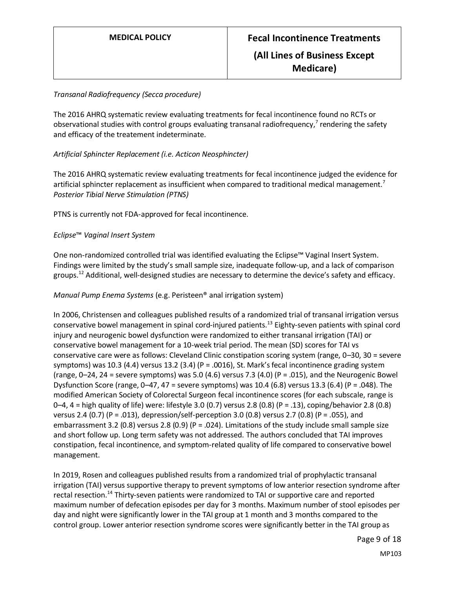## *Transanal Radiofrequency (Secca procedure)*

The 2016 AHRQ systematic review evaluating treatments for fecal incontinence found no RCTs or observational studies with control groups evaluating transanal radiofrequency,<sup>7</sup> rendering the safety and efficacy of the treatement indeterminate.

## *Artificial Sphincter Replacement (i.e. Acticon Neosphincter)*

The 2016 AHRQ systematic review evaluating treatments for fecal incontinence judged the evidence for artificial sphincter replacement as insufficient when compared to traditional medical management.<sup>7</sup> *Posterior Tibial Nerve Stimulation (PTNS)*

PTNS is currently not FDA-approved for fecal incontinence.

## *Eclipse*™ *Vaginal Insert System*

One non-randomized controlled trial was identified evaluating the Eclipse™ Vaginal Insert System. Findings were limited by the study's small sample size, inadequate follow-up, and a lack of comparison groups.<sup>12</sup> Additional, well-designed studies are necessary to determine the device's safety and efficacy.

*Manual Pump Enema Systems* (e.g. Peristeen® anal irrigation system)

In 2006, Christensen and colleagues published results of a randomized trial of transanal irrigation versus conservative bowel management in spinal cord-injured patients.<sup>13</sup> Eighty-seven patients with spinal cord injury and neurogenic bowel dysfunction were randomized to either transanal irrigation (TAI) or conservative bowel management for a 10-week trial period. The mean (SD) scores for TAI vs conservative care were as follows: Cleveland Clinic constipation scoring system (range, 0–30, 30 = severe symptoms) was 10.3 (4.4) versus 13.2 (3.4) (P = .0016), St. Mark's fecal incontinence grading system (range,  $0-24$ , 24 = severe symptoms) was 5.0 (4.6) versus 7.3 (4.0) (P = .015), and the Neurogenic Bowel Dysfunction Score (range, 0–47, 47 = severe symptoms) was 10.4 (6.8) versus 13.3 (6.4) (P = .048). The modified American Society of Colorectal Surgeon fecal incontinence scores (for each subscale, range is 0–4, 4 = high quality of life) were: lifestyle 3.0 (0.7) versus 2.8 (0.8) (P = .13), coping/behavior 2.8 (0.8) versus 2.4 (0.7) (P = .013), depression/self-perception 3.0 (0.8) versus 2.7 (0.8) (P = .055), and embarrassment 3.2 (0.8) versus 2.8 (0.9) (P = .024). Limitations of the study include small sample size and short follow up. Long term safety was not addressed. The authors concluded that TAI improves constipation, fecal incontinence, and symptom-related quality of life compared to conservative bowel management.

In 2019, Rosen and colleagues published results from a randomized trial of prophylactic transanal irrigation (TAI) versus supportive therapy to prevent symptoms of low anterior resection syndrome after rectal resection.<sup>14</sup> Thirty-seven patients were randomized to TAI or supportive care and reported maximum number of defecation episodes per day for 3 months. Maximum number of stool episodes per day and night were significantly lower in the TAI group at 1 month and 3 months compared to the control group. Lower anterior resection syndrome scores were significantly better in the TAI group as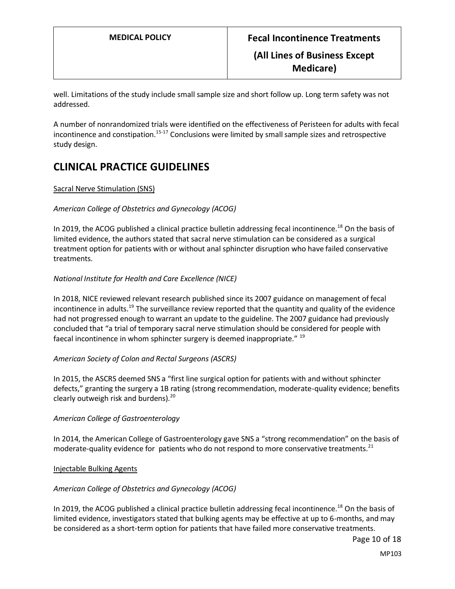well. Limitations of the study include small sample size and short follow up. Long term safety was not addressed.

A number of nonrandomized trials were identified on the effectiveness of Peristeen for adults with fecal incontinence and constipation.<sup>15-17</sup> Conclusions were limited by small sample sizes and retrospective study design.

# **CLINICAL PRACTICE GUIDELINES**

## Sacral Nerve Stimulation (SNS)

## *American College of Obstetrics and Gynecology (ACOG)*

In 2019, the ACOG published a clinical practice bulletin addressing fecal incontinence.<sup>18</sup> On the basis of limited evidence, the authors stated that sacral nerve stimulation can be considered as a surgical treatment option for patients with or without anal sphincter disruption who have failed conservative treatments.

## *National Institute for Health and Care Excellence (NICE)*

In 2018, NICE reviewed relevant research published since its 2007 guidance on management of fecal incontinence in adults.<sup>19</sup> The surveillance review reported that the quantity and quality of the evidence had not progressed enough to warrant an update to the guideline. The 2007 guidance had previously concluded that "a trial of temporary sacral nerve stimulation should be considered for people with faecal incontinence in whom sphincter surgery is deemed inappropriate."  $^{19}$ 

#### *American Society of Colon and Rectal Surgeons (ASCRS)*

In 2015, the ASCRS deemed SNS a "first line surgical option for patients with and without sphincter defects," granting the surgery a 1B rating (strong recommendation, moderate-quality evidence; benefits clearly outweigh risk and burdens). $^{20}$ 

#### *American College of Gastroenterology*

In 2014, the American College of Gastroenterology gave SNS a "strong recommendation" on the basis of moderate-quality evidence for patients who do not respond to more conservative treatments.<sup>21</sup>

#### Injectable Bulking Agents

#### *American College of Obstetrics and Gynecology (ACOG)*

In 2019, the ACOG published a clinical practice bulletin addressing fecal incontinence.<sup>18</sup> On the basis of limited evidence, investigators stated that bulking agents may be effective at up to 6-months, and may be considered as a short-term option for patients that have failed more conservative treatments.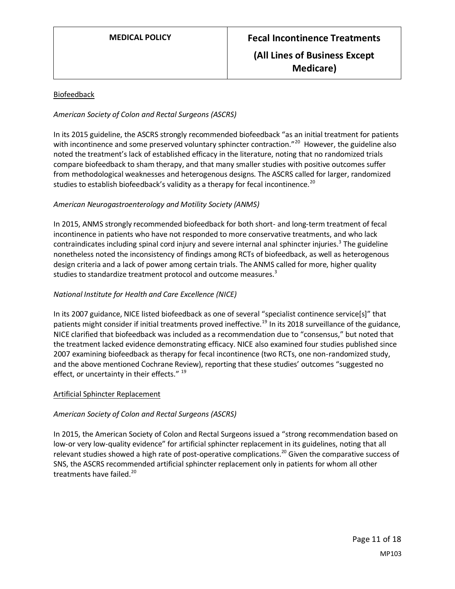## Biofeedback

## *American Society of Colon and Rectal Surgeons (ASCRS)*

In its 2015 guideline, the ASCRS strongly recommended biofeedback "as an initial treatment for patients with incontinence and some preserved voluntary sphincter contraction."<sup>20</sup> However, the guideline also noted the treatment's lack of established efficacy in the literature, noting that no randomized trials compare biofeedback to sham therapy, and that many smaller studies with positive outcomes suffer from methodological weaknesses and heterogenous designs. The ASCRS called for larger, randomized studies to establish biofeedback's validity as a therapy for fecal incontinence.<sup>20</sup>

## *American Neurogastroenterology and Motility Society (ANMS)*

In 2015, ANMS strongly recommended biofeedback for both short- and long-term treatment of fecal incontinence in patients who have not responded to more conservative treatments, and who lack contraindicates including spinal cord injury and severe internal anal sphincter injuries.<sup>3</sup> The guideline nonetheless noted the inconsistency of findings among RCTs of biofeedback, as well as heterogenous design criteria and a lack of power among certain trials. The ANMS called for more, higher quality studies to standardize treatment protocol and outcome measures.<sup>3</sup>

## *National Institute for Health and Care Excellence (NICE)*

In its 2007 guidance, NICE listed biofeedback as one of several "specialist continence service[s]" that patients might consider if initial treatments proved ineffective.<sup>19</sup> In its 2018 surveillance of the guidance, NICE clarified that biofeedback was included as a recommendation due to "consensus," but noted that the treatment lacked evidence demonstrating efficacy. NICE also examined four studies published since 2007 examining biofeedback as therapy for fecal incontinence (two RCTs, one non-randomized study, and the above mentioned Cochrane Review), reporting that these studies' outcomes "suggested no effect, or uncertainty in their effects."<sup>19</sup>

#### Artificial Sphincter Replacement

#### *American Society of Colon and Rectal Surgeons (ASCRS)*

In 2015, the American Society of Colon and Rectal Surgeons issued a "strong recommendation based on low-or very low-quality evidence" for artificial sphincter replacement in its guidelines, noting that all relevant studies showed a high rate of post-operative complications.<sup>20</sup> Given the comparative success of SNS, the ASCRS recommended artificial sphincter replacement only in patients for whom all other treatments have failed.<sup>20</sup>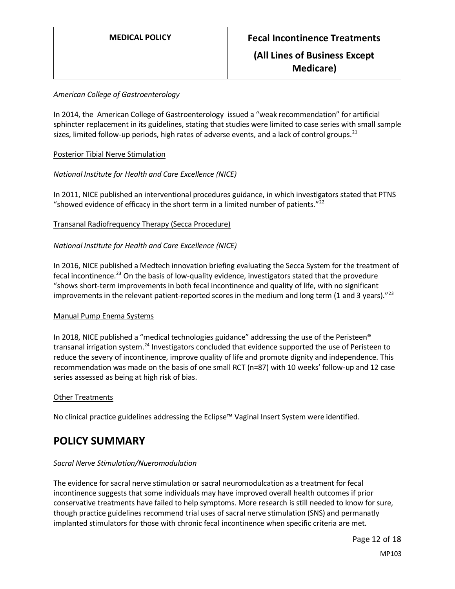## *American College of Gastroenterology*

In 2014, the American College of Gastroenterology issued a "weak recommendation" for artificial sphincter replacement in its guidelines, stating that studies were limited to case series with small sample sizes, limited follow-up periods, high rates of adverse events, and a lack of control groups.<sup>21</sup>

## Posterior Tibial Nerve Stimulation

## *National Institute for Health and Care Excellence (NICE)*

In 2011, NICE published an interventional procedures guidance, in which investigators stated that PTNS "showed evidence of efficacy in the short term in a limited number of patients." $^{22}$ 

#### Transanal Radiofrequency Therapy (Secca Procedure)

## *National Institute for Health and Care Excellence (NICE)*

In 2016, NICE published a Medtech innovation briefing evaluating the Secca System for the treatment of fecal incontinence.<sup>23</sup> On the basis of low-quality evidence, investigators stated that the provedure "shows short-term improvements in both fecal incontinence and quality of life, with no significant improvements in the relevant patient-reported scores in the medium and long term (1 and 3 years)."<sup>23</sup>

#### Manual Pump Enema Systems

In 2018, NICE published a "medical technologies guidance" addressing the use of the Peristeen® transanal irrigation system.<sup>24</sup> Investigators concluded that evidence supported the use of Peristeen to reduce the severy of incontinence, improve quality of life and promote dignity and independence. This recommendation was made on the basis of one small RCT (n=87) with 10 weeks' follow-up and 12 case series assessed as being at high risk of bias.

#### Other Treatments

No clinical practice guidelines addressing the Eclipse™ Vaginal Insert System were identified.

## <span id="page-11-0"></span>**POLICY SUMMARY**

#### *Sacral Nerve Stimulation/Nueromodulation*

The evidence for sacral nerve stimulation or sacral neuromodulcation as a treatment for fecal incontinence suggests that some individuals may have improved overall health outcomes if prior conservative treatments have failed to help symptoms. More research is still needed to know for sure, though practice guidelines recommend trial uses of sacral nerve stimulation (SNS) and permanatly implanted stimulators for those with chronic fecal incontinence when specific criteria are met.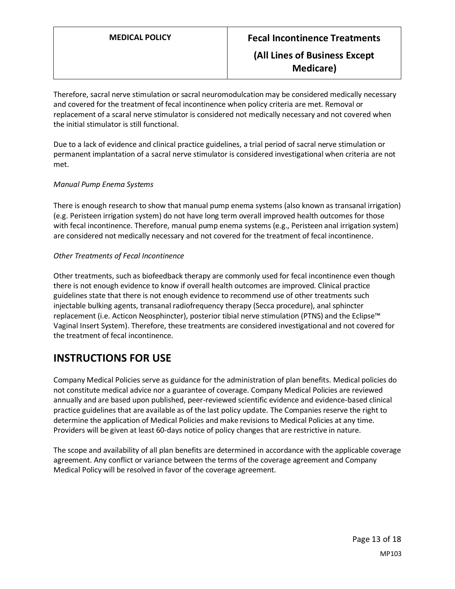Therefore, sacral nerve stimulation or sacral neuromodulcation may be considered medically necessary and covered for the treatment of fecal incontinence when policy criteria are met. Removal or replacement of a scaral nerve stimulator is considered not medically necessary and not covered when the initial stimulator is still functional.

Due to a lack of evidence and clinical practice guidelines, a trial period of sacral nerve stimulation or permanent implantation of a sacral nerve stimulator is considered investigational when criteria are not met.

## *Manual Pump Enema Systems*

There is enough research to show that manual pump enema systems (also known as transanal irrigation) (e.g. Peristeen irrigation system) do not have long term overall improved health outcomes for those with fecal incontinence. Therefore, manual pump enema systems (e.g., Peristeen anal irrigation system) are considered not medically necessary and not covered for the treatment of fecal incontinence.

## *Other Treatments of Fecal Incontinence*

Other treatments, such as biofeedback therapy are commonly used for fecal incontinence even though there is not enough evidence to know if overall health outcomes are improved. Clinical practice guidelines state that there is not enough evidence to recommend use of other treatments such injectable bulking agents, transanal radiofrequency therapy (Secca procedure), anal sphincter replacement (i.e. Acticon Neosphincter), posterior tibial nerve stimulation (PTNS) and the Eclipse™ Vaginal Insert System). Therefore, these treatments are considered investigational and not covered for the treatment of fecal incontinence.

# **INSTRUCTIONS FOR USE**

Company Medical Policies serve as guidance for the administration of plan benefits. Medical policies do not constitute medical advice nor a guarantee of coverage. Company Medical Policies are reviewed annually and are based upon published, peer-reviewed scientific evidence and evidence-based clinical practice guidelines that are available as of the last policy update. The Companies reserve the right to determine the application of Medical Policies and make revisions to Medical Policies at any time. Providers will be given at least 60-days notice of policy changes that are restrictive in nature.

The scope and availability of all plan benefits are determined in accordance with the applicable coverage agreement. Any conflict or variance between the terms of the coverage agreement and Company Medical Policy will be resolved in favor of the coverage agreement.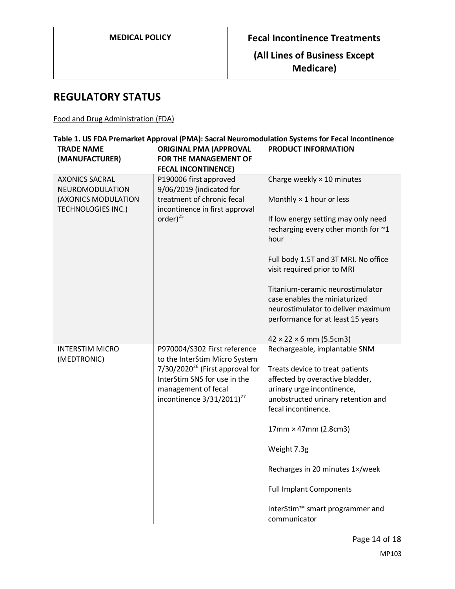**Medicare)**

# **REGULATORY STATUS**

## Food and Drug Administration (FDA)

| <b>TRADE NAME</b><br>(MANUFACTURER)              | <b>ORIGINAL PMA (APPROVAL</b><br>FOR THE MANAGEMENT OF<br><b>FECAL INCONTINENCE)</b>                                                                                                                   | <b>PRODUCT INFORMATION</b>                                                                                                                                                                     |
|--------------------------------------------------|--------------------------------------------------------------------------------------------------------------------------------------------------------------------------------------------------------|------------------------------------------------------------------------------------------------------------------------------------------------------------------------------------------------|
| <b>AXONICS SACRAL</b><br>NEUROMODULATION         | P190006 first approved<br>9/06/2019 (indicated for                                                                                                                                                     | Charge weekly $\times$ 10 minutes                                                                                                                                                              |
| (AXONICS MODULATION<br><b>TECHNOLOGIES INC.)</b> | treatment of chronic fecal<br>incontinence in first approval<br>order $)^{25}$                                                                                                                         | Monthly $\times$ 1 hour or less                                                                                                                                                                |
|                                                  |                                                                                                                                                                                                        | If low energy setting may only need<br>recharging every other month for ~1<br>hour                                                                                                             |
|                                                  |                                                                                                                                                                                                        | Full body 1.5T and 3T MRI. No office<br>visit required prior to MRI                                                                                                                            |
|                                                  |                                                                                                                                                                                                        | Titanium-ceramic neurostimulator<br>case enables the miniaturized<br>neurostimulator to deliver maximum<br>performance for at least 15 years                                                   |
|                                                  |                                                                                                                                                                                                        | $42 \times 22 \times 6$ mm (5.5cm3)                                                                                                                                                            |
| <b>INTERSTIM MICRO</b><br>(MEDTRONIC)            | P970004/S302 First reference<br>to the InterStim Micro System<br>$7/30/2020^{26}$ (First approval for<br>InterStim SNS for use in the<br>management of fecal<br>incontinence $3/31/2011$ <sup>27</sup> | Rechargeable, implantable SNM<br>Treats device to treat patients<br>affected by overactive bladder,<br>urinary urge incontinence,<br>unobstructed urinary retention and<br>fecal incontinence. |
|                                                  |                                                                                                                                                                                                        | 17mm × 47mm (2.8cm3)                                                                                                                                                                           |
|                                                  |                                                                                                                                                                                                        | Weight 7.3g                                                                                                                                                                                    |
|                                                  |                                                                                                                                                                                                        | Recharges in 20 minutes 1×/week                                                                                                                                                                |
|                                                  |                                                                                                                                                                                                        | <b>Full Implant Components</b>                                                                                                                                                                 |
|                                                  |                                                                                                                                                                                                        | InterStim™ smart programmer and<br>communicator                                                                                                                                                |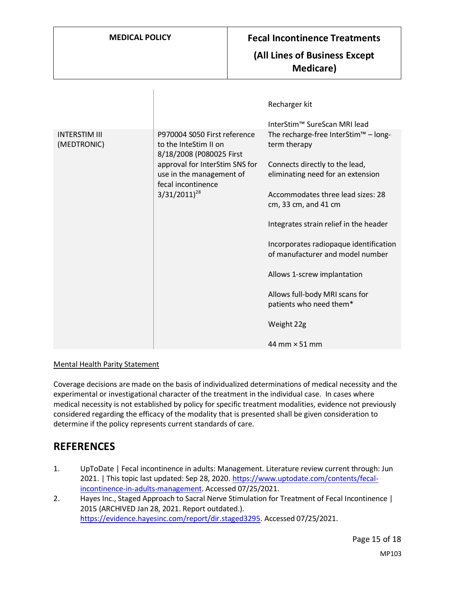$\overline{1}$ 

## **(All Lines of Business Except Medicare)**

|                                     |                                                                                                                                                                                            | Recharger kit                                                              |
|-------------------------------------|--------------------------------------------------------------------------------------------------------------------------------------------------------------------------------------------|----------------------------------------------------------------------------|
|                                     |                                                                                                                                                                                            | InterStim™ SureScan MRI lead                                               |
| <b>INTERSTIM III</b><br>(MEDTRONIC) | P970004 S050 First reference<br>to the InteStim II on<br>8/18/2008 (P080025 First<br>approval for InterStim SNS for<br>use in the management of<br>fecal incontinence<br>$3/31/2011)^{28}$ | The recharge-free InterStim <sup>™</sup> – long-<br>term therapy           |
|                                     |                                                                                                                                                                                            | Connects directly to the lead,<br>eliminating need for an extension        |
|                                     |                                                                                                                                                                                            | Accommodates three lead sizes: 28<br>cm, 33 cm, and 41 cm                  |
|                                     |                                                                                                                                                                                            | Integrates strain relief in the header                                     |
|                                     |                                                                                                                                                                                            | Incorporates radiopaque identification<br>of manufacturer and model number |
|                                     |                                                                                                                                                                                            | Allows 1-screw implantation                                                |
|                                     |                                                                                                                                                                                            | Allows full-body MRI scans for<br>patients who need them*                  |
|                                     |                                                                                                                                                                                            | Weight 22g                                                                 |
|                                     |                                                                                                                                                                                            | 44 mm $\times$ 51 mm                                                       |

#### Mental Health Parity Statement

Coverage decisions are made on the basis of individualized determinations of medical necessity and the experimental or investigational character of the treatment in the individual case. In cases where medical necessity is not established by policy for specific treatment modalities, evidence not previously considered regarding the efficacy of the modality that is presented shall be given consideration to determine if the policy represents current standards of care.

## **REFERENCES**

- 1. UpToDate | Fecal incontinence in adults: Management. Literature review current through: Jun 2021. | This topic last updated: Sep 28, 2020[. https://www.uptodate.com/contents/fecal](https://www.uptodate.com/contents/fecal-incontinence-in-adults-management)[incontinence-in-adults-management.](https://www.uptodate.com/contents/fecal-incontinence-in-adults-management) Accessed 07/25/2021.
- 2. Hayes Inc., Staged Approach to Sacral Nerve Stimulation for Treatment of Fecal Incontinence | 2015 (ARCHIVED Jan 28, 2021. Report outdated.). [https://evidence.hayesinc.com/report/dir.staged3295.](https://evidence.hayesinc.com/report/dir.staged3295) Accessed 07/25/2021.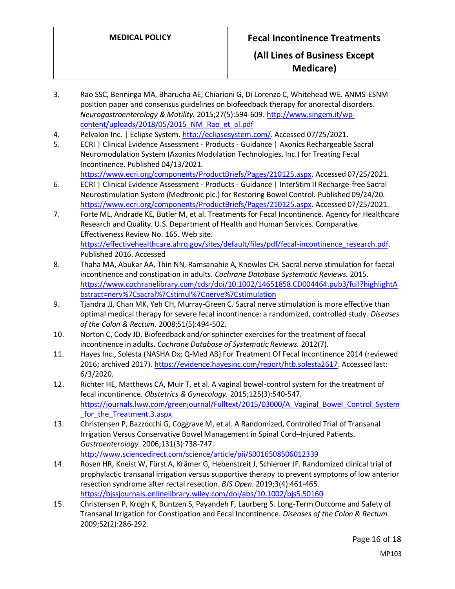- 3. Rao SSC, Benninga MA, Bharucha AE, Chiarioni G, Di Lorenzo C, Whitehead WE. ANMS-ESNM position paper and consensus guidelines on biofeedback therapy for anorectal disorders. *Neurogastroenterology & Motility.* 2015;27(5):594-609[. http://www.singem.it/wp](http://www.singem.it/wp-content/uploads/2018/05/2015_NM_Rao_et_al.pdf)[content/uploads/2018/05/2015\\_NM\\_Rao\\_et\\_al.pdf](http://www.singem.it/wp-content/uploads/2018/05/2015_NM_Rao_et_al.pdf)
- 4. Pelvalon Inc. | Eclipse System. [http://eclipsesystem.com/.](http://eclipsesystem.com/) Accessed 07/25/2021.
- 5. ECRI | Clinical Evidence Assessment Products Guidance | Axonics Rechargeable Sacral Neuromodulation System (Axonics Modulation Technologies, Inc.) for Treating Fecal Incontinence. Published 04/13/2021.

[https://www.ecri.org/components/ProductBriefs/Pages/210125.aspx.](https://www.ecri.org/components/ProductBriefs/Pages/210125.aspx) Accessed 07/25/2021.

- 6. ECRI | Clinical Evidence Assessment Products Guidance | InterStim II Recharge-free Sacral Neurostimulation System (Medtronic plc.) for Restoring Bowel Control. Published 09/24/20. [https://www.ecri.org/components/ProductBriefs/Pages/210125.aspx.](https://www.ecri.org/components/ProductBriefs/Pages/210125.aspx) Accessed 07/25/2021.
- 7. Forte ML, Andrade KE, Butler M, et al. Treatments for Fecal Incontinence. Agency for Healthcare Research and Quality. U.S. Department of Health and Human Services. Comparative Effectiveness Review No. 165. Web site. [https://effectivehealthcare.ahrq.gov/sites/default/files/pdf/fecal-incontinence\\_research.pdf.](https://effectivehealthcare.ahrq.gov/sites/default/files/pdf/fecal-incontinence_research.pdf) Published 2016. Accessed
- 8. Thaha MA, Abukar AA, Thin NN, Ramsanahie A, Knowles CH. Sacral nerve stimulation for faecal incontinence and constipation in adults. *Cochrane Database Systematic Reviews.* 2015. [https://www.cochranelibrary.com/cdsr/doi/10.1002/14651858.CD004464.pub3/full?highlightA](https://www.cochranelibrary.com/cdsr/doi/10.1002/14651858.CD004464.pub3/full?highlightAbstract=nerv%7Csacral%7Cstimul%7Cnerve%7Cstimulation) [bstract=nerv%7Csacral%7Cstimul%7Cnerve%7Cstimulation](https://www.cochranelibrary.com/cdsr/doi/10.1002/14651858.CD004464.pub3/full?highlightAbstract=nerv%7Csacral%7Cstimul%7Cnerve%7Cstimulation)
- 9. Tjandra JJ, Chan MK, Yeh CH, Murray-Green C. Sacral nerve stimulation is more effective than optimal medical therapy for severe fecal incontinence: a randomized, controlled study. *Diseases of the Colon & Rectum.* 2008;51(5):494-502.
- 10. Norton C, Cody JD. Biofeedback and/or sphincter exercises for the treatment of faecal incontinence in adults. *Cochrane Database of Systematic Reviews.* 2012(7).
- 11. Hayes Inc., Solesta (NASHA Dx; Q-Med AB) For Treatment Of Fecal Incontinence 2014 (reviewed 2016; archived 2017)[. https://evidence.hayesinc.com/report/htb.solesta2617.](https://evidence.hayesinc.com/report/htb.solesta2617) Accessed last: 6/3/2020.
- 12. Richter HE, Matthews CA, Muir T, et al. A vaginal bowel-control system for the treatment of fecal incontinence. *Obstetrics & Gynecology.* 2015;125(3):540-547. [https://journals.lww.com/greenjournal/Fulltext/2015/03000/A\\_Vaginal\\_Bowel\\_Control\\_System](https://journals.lww.com/greenjournal/Fulltext/2015/03000/A_Vaginal_Bowel_Control_System_for_the_Treatment.3.aspx) for the Treatment.3.aspx
- 13. Christensen P, Bazzocchi G, Coggrave M, et al. A Randomized, Controlled Trial of Transanal Irrigation Versus Conservative Bowel Management in Spinal Cord–Injured Patients. *Gastroenterology.* 2006;131(3):738-747. <http://www.sciencedirect.com/science/article/pii/S0016508506012339>
- 14. Rosen HR, Kneist W, Fürst A, Krämer G, Hebenstreit J, Schiemer JF. Randomized clinical trial of prophylactic transanal irrigation versus supportive therapy to prevent symptoms of low anterior resection syndrome after rectal resection. *BJS Open.* 2019;3(4):461-465. <https://bjssjournals.onlinelibrary.wiley.com/doi/abs/10.1002/bjs5.50160>
- 15. Christensen P, Krogh K, Buntzen S, Payandeh F, Laurberg S. Long-Term Outcome and Safety of Transanal Irrigation for Constipation and Fecal Incontinence. *Diseases of the Colon & Rectum.*  2009;52(2):286-292.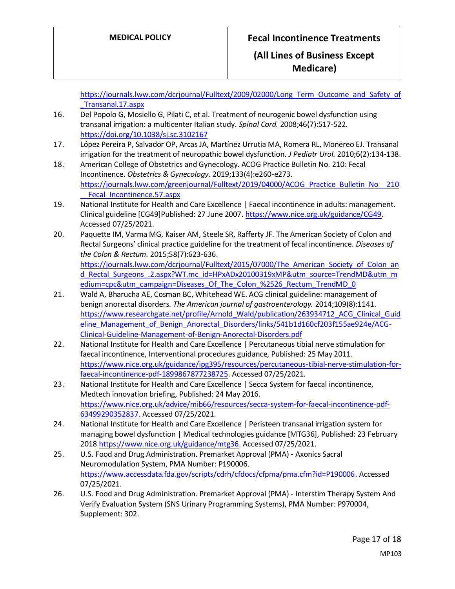[https://journals.lww.com/dcrjournal/Fulltext/2009/02000/Long\\_Term\\_Outcome\\_and\\_Safety\\_of](https://journals.lww.com/dcrjournal/Fulltext/2009/02000/Long_Term_Outcome_and_Safety_of_Transanal.17.aspx) [\\_Transanal.17.aspx](https://journals.lww.com/dcrjournal/Fulltext/2009/02000/Long_Term_Outcome_and_Safety_of_Transanal.17.aspx)

- 16. Del Popolo G, Mosiello G, Pilati C, et al. Treatment of neurogenic bowel dysfunction using transanal irrigation: a multicenter Italian study. *Spinal Cord.* 2008;46(7):517-522. <https://doi.org/10.1038/sj.sc.3102167>
- 17. López Pereira P, Salvador OP, Arcas JA, Martínez Urrutia MA, Romera RL, Monereo EJ. Transanal irrigation for the treatment of neuropathic bowel dysfunction. *J Pediatr Urol.* 2010;6(2):134-138.
- 18. American College of Obstetrics and Gynecology. ACOG Practice Bulletin No. 210: Fecal Incontinence. *Obstetrics & Gynecology.* 2019;133(4):e260-e273. [https://journals.lww.com/greenjournal/Fulltext/2019/04000/ACOG\\_Practice\\_Bulletin\\_No\\_\\_210](https://journals.lww.com/greenjournal/Fulltext/2019/04000/ACOG_Practice_Bulletin_No__210__Fecal_Incontinence.57.aspx) Fecal Incontinence.57.aspx
- 19. National Institute for Health and Care Excellence | Faecal incontinence in adults: management. Clinical guideline [CG49]Published: 27 June 2007[. https://www.nice.org.uk/guidance/CG49.](https://www.nice.org.uk/guidance/CG49) Accessed 07/25/2021.
- 20. Paquette IM, Varma MG, Kaiser AM, Steele SR, Rafferty JF. The American Society of Colon and Rectal Surgeons' clinical practice guideline for the treatment of fecal incontinence. *Diseases of the Colon & Rectum.* 2015;58(7):623-636. https://journals.lww.com/dcrjournal/Fulltext/2015/07000/The American Society of Colon an d Rectal Surgeons .2.aspx?WT.mc\_id=HPxADx20100319xMP&utm\_source=TrendMD&utm\_m [edium=cpc&utm\\_campaign=Diseases\\_Of\\_The\\_Colon\\_%2526\\_Rectum\\_TrendMD\\_0](https://journals.lww.com/dcrjournal/Fulltext/2015/07000/The_American_Society_of_Colon_and_Rectal_Surgeons_.2.aspx?WT.mc_id=HPxADx20100319xMP&utm_source=TrendMD&utm_medium=cpc&utm_campaign=Diseases_Of_The_Colon_%2526_Rectum_TrendMD_0)
- 21. Wald A, Bharucha AE, Cosman BC, Whitehead WE. ACG clinical guideline: management of benign anorectal disorders. *The American journal of gastroenterology.* 2014;109(8):1141. [https://www.researchgate.net/profile/Arnold\\_Wald/publication/263934712\\_ACG\\_Clinical\\_Guid](https://www.researchgate.net/profile/Arnold_Wald/publication/263934712_ACG_Clinical_Guideline_Management_of_Benign_Anorectal_Disorders/links/541b1d160cf203f155ae924e/ACG-Clinical-Guideline-Management-of-Benign-Anorectal-Disorders.pdf) [eline\\_Management\\_of\\_Benign\\_Anorectal\\_Disorders/links/541b1d160cf203f155ae924e/ACG-](https://www.researchgate.net/profile/Arnold_Wald/publication/263934712_ACG_Clinical_Guideline_Management_of_Benign_Anorectal_Disorders/links/541b1d160cf203f155ae924e/ACG-Clinical-Guideline-Management-of-Benign-Anorectal-Disorders.pdf)[Clinical-Guideline-Management-of-Benign-Anorectal-Disorders.pdf](https://www.researchgate.net/profile/Arnold_Wald/publication/263934712_ACG_Clinical_Guideline_Management_of_Benign_Anorectal_Disorders/links/541b1d160cf203f155ae924e/ACG-Clinical-Guideline-Management-of-Benign-Anorectal-Disorders.pdf)
- 22. National Institute for Health and Care Excellence | Percutaneous tibial nerve stimulation for faecal incontinence, Interventional procedures guidance, Published: 25 May 2011. [https://www.nice.org.uk/guidance/ipg395/resources/percutaneous-tibial-nerve-stimulation-for](https://www.nice.org.uk/guidance/ipg395/resources/percutaneous-tibial-nerve-stimulation-for-faecal-incontinence-pdf-1899867877238725)[faecal-incontinence-pdf-1899867877238725.](https://www.nice.org.uk/guidance/ipg395/resources/percutaneous-tibial-nerve-stimulation-for-faecal-incontinence-pdf-1899867877238725) Accessed 07/25/2021.
- 23. National Institute for Health and Care Excellence | Secca System for faecal incontinence, Medtech innovation briefing, Published: 24 May 2016. [https://www.nice.org.uk/advice/mib66/resources/secca-system-for-faecal-incontinence-pdf-](https://www.nice.org.uk/advice/mib66/resources/secca-system-for-faecal-incontinence-pdf-63499290352837)[63499290352837.](https://www.nice.org.uk/advice/mib66/resources/secca-system-for-faecal-incontinence-pdf-63499290352837) Accessed 07/25/2021.
- 24. National Institute for Health and Care Excellence | Peristeen transanal irrigation system for managing bowel dysfunction | Medical technologies guidance [MTG36], Published: 23 February 2018 [https://www.nice.org.uk/guidance/mtg36.](https://www.nice.org.uk/guidance/mtg36) Accessed 07/25/2021.
- 25. U.S. Food and Drug Administration. Premarket Approval (PMA) Axonics Sacral Neuromodulation System, PMA Number: P190006. [https://www.accessdata.fda.gov/scripts/cdrh/cfdocs/cfpma/pma.cfm?id=P190006.](https://www.accessdata.fda.gov/scripts/cdrh/cfdocs/cfpma/pma.cfm?id=P190006) Accessed 07/25/2021.
- 26. U.S. Food and Drug Administration. Premarket Approval (PMA) Interstim Therapy System And Verify Evaluation System (SNS Urinary Programming Systems), PMA Number: P970004, Supplement: 302.